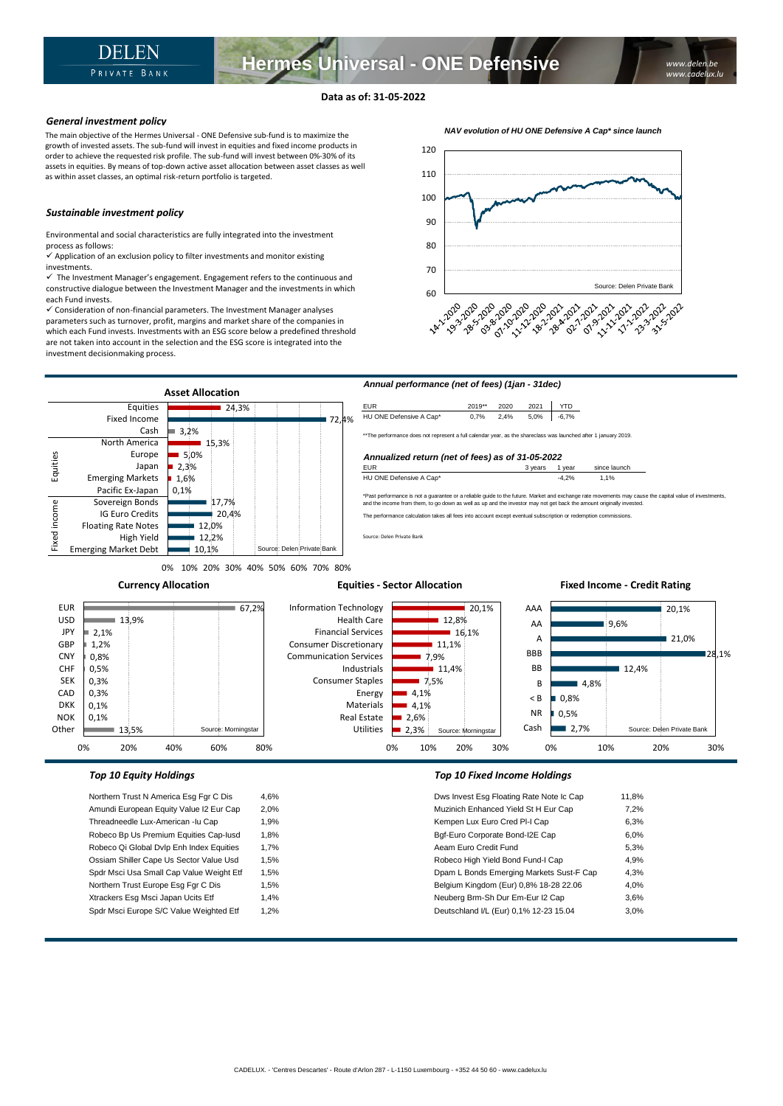## **Data as of: 31-05-2022**

## *General investment policy*

The main objective of the Hermes Universal - ONE Defensive sub-fund is to maximize the growth of invested assets. The sub-fund will invest in equities and fixed income products in order to achieve the requested risk profile. The sub-fund will invest between 0%-30% of its assets in equities. By means of top-down active asset allocation between asset classes as well as within asset classes, an optimal risk-return portfolio is targeted.

## *Sustainable investment policy*

Environmental and social characteristics are fully integrated into the investment process as follows:

 $\checkmark$  Application of an exclusion policy to filter investments and monitor existing investments.

 $\checkmark$  The Investment Manager's engagement. Engagement refers to the continuous and constructive dialogue between the Investment Manager and the investments in which each Fund invests.

✓ Consideration of non-financial parameters. The Investment Manager analyses parameters such as turnover, profit, margins and market share of the companies in which each Fund invests. Investments with an ESG score below a predefined threshold are not taken into account in the selection and the ESG score is integrated into the investment decisionmaking process.





0% 10% 20% 30% 40% 50% 60% 70% 80%

**Currency Allocation**

EUR USD **JPY** GBP **CNY** CHF SEK CAD DKK NOK **Other** 

### **Equities - Sector Allocation**

### 20,1% ■ 9.6% 21.0% 28,1%  $12.4%$  $-4.8%$ 0,8% 0,5%  $2.7%$ AAA AA A BBB BB B < B NR Cash Source: Delen Private Bank 20,1%  $12,8%$  $16,1%$  $11,1%$ 7,9%  $11.4%$ 7,5% 4,1% 4,1%  $2.6%$ 2,3% Information Technology Health Care Financial Services Consumer Discretionary Communication Services Industrials Consumer Staples Energy Materials Real Estate Utilities Source: Morningstar  $\overline{67,2\%}$ 13,9% 2,1% 1,2% 0,8% 0,5% 0,3% 0,3% 0,1% 0,1% 13,5% Source: Morningstar

0% 10% 20% 30%

Northern Trust N America Esg Fgr C Dis 4,6% Amundi European Equity Value I2 Eur Cap 2,0% Threadneedle Lux-American -lu Cap 1,9% Robeco Bp Us Premium Equities Cap-Iusd 1,8% Robeco Qi Global Dvlp Enh Index Equities 1,7% Ossiam Shiller Cape Us Sector Value Usd 1,5% Spdr Msci Usa Small Cap Value Weight Etf 1,5% Northern Trust Europe Esg Fgr C Dis 1,5% Xtrackers Esg Msci Japan Ucits Etf 1,4% Spdr Msci Europe S/C Value Weighted Etf 1,2%

0% 20% 40% 60% 80%

## *Top 10 Equity Holdings Top 10 Fixed Income Holdings*

| Dws Invest Esg Floating Rate Note Ic Cap | 11.8% |
|------------------------------------------|-------|
| Muzinich Enhanced Yield St H Eur Cap     | 7.2%  |
| Kempen Lux Euro Cred PI-I Cap            | 6.3%  |
| Bgf-Euro Corporate Bond-I2E Cap          | 6.0%  |
| Aeam Euro Credit Fund                    | 5.3%  |
| Robeco High Yield Bond Fund-I Cap        | 4.9%  |
| Dpam L Bonds Emerging Markets Sust-F Cap | 4.3%  |
| Belgium Kingdom (Eur) 0,8% 18-28 22.06   | 4.0%  |
| Neuberg Brm-Sh Dur Em-Eur I2 Cap         | 3.6%  |
| Deutschland I/L (Eur) 0,1% 12-23 15.04   | 3.0%  |
|                                          |       |

0% 10% 20% 30%

**Fixed Income - Credit Rating**